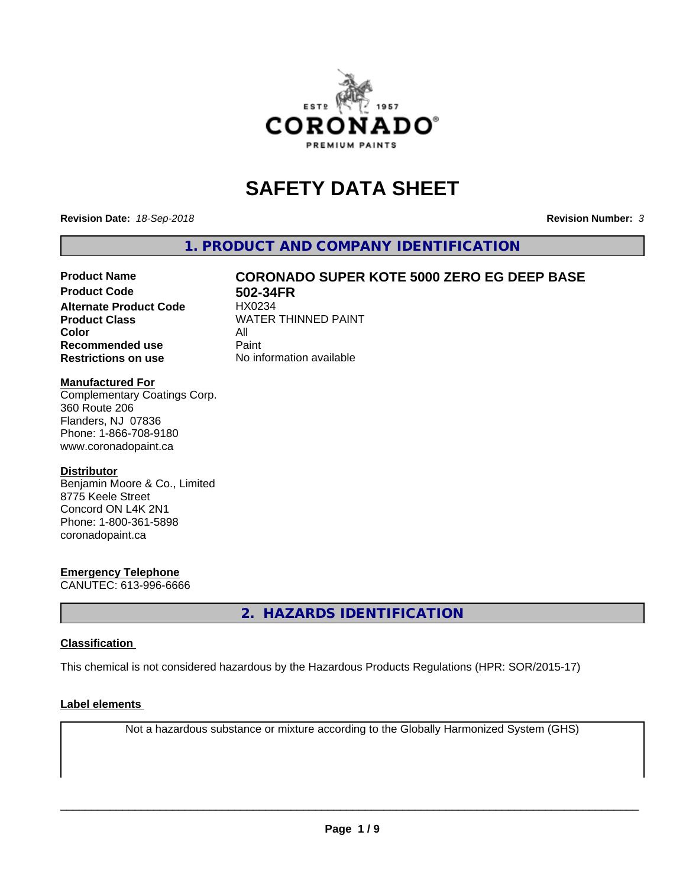

# **SAFETY DATA SHEET**

**Revision Date:** *18-Sep-2018* **Revision Number:** *3*

**1. PRODUCT AND COMPANY IDENTIFICATION**

# **Product Name CORONADO SUPER KOTE 5000 ZERO EG DEEP BASE**

**Product Code 502-34FR**<br>Alternate Product Code HX0234 **Alternate Product Code Color** All<br> **Recommended use** Paint **Recommended use Restrictions on use** No information available

**Product Class WATER THINNED PAINT** 

#### **Manufactured For**

Complementary Coatings Corp. 360 Route 206 Flanders, NJ 07836 Phone: 1-866-708-9180 www.coronadopaint.ca

#### **Distributor**

Benjamin Moore & Co., Limited 8775 Keele Street Concord ON L4K 2N1 Phone: 1-800-361-5898 coronadopaint.ca

#### **Emergency Telephone**

CANUTEC: 613-996-6666

**2. HAZARDS IDENTIFICATION**

#### **Classification**

This chemical is not considered hazardous by the Hazardous Products Regulations (HPR: SOR/2015-17)

#### **Label elements**

Not a hazardous substance or mixture according to the Globally Harmonized System (GHS)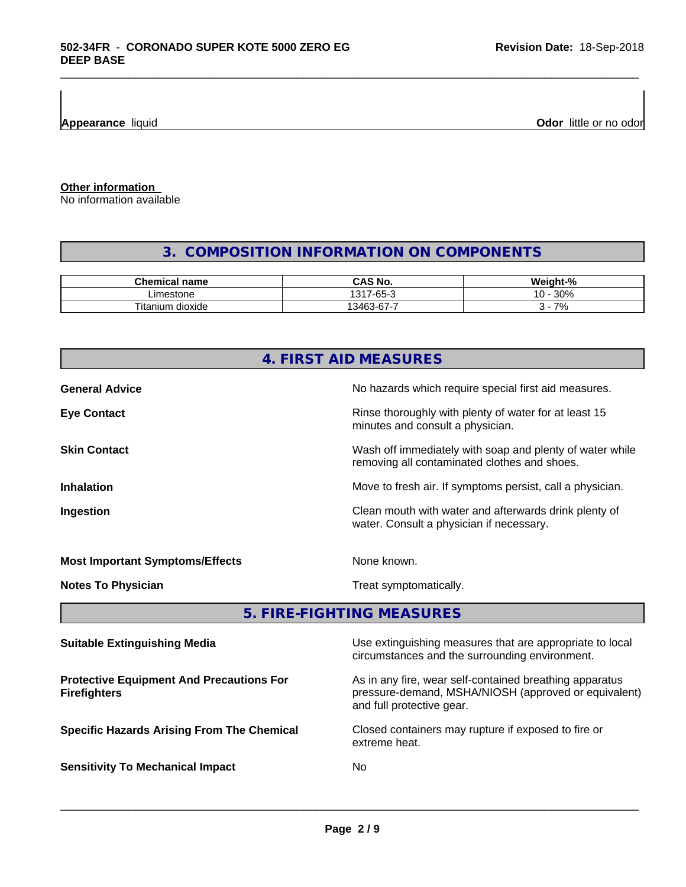**Appearance** liquid

**Odor** little or no odor

**Other information**

No information available

# **3. COMPOSITION INFORMATION ON COMPONENTS**

\_\_\_\_\_\_\_\_\_\_\_\_\_\_\_\_\_\_\_\_\_\_\_\_\_\_\_\_\_\_\_\_\_\_\_\_\_\_\_\_\_\_\_\_\_\_\_\_\_\_\_\_\_\_\_\_\_\_\_\_\_\_\_\_\_\_\_\_\_\_\_\_\_\_\_\_\_\_\_\_\_\_\_\_\_\_\_\_\_\_\_\_\_

| Chemical<br>name              | N0<br>.                                               | <br>$\mathbf{a}$<br>$M$ oir $-$<br>7ο |
|-------------------------------|-------------------------------------------------------|---------------------------------------|
| .imestone                     | $\sim$<br>1017<br>$\overline{\phantom{a}}$<br>∙ט<br>ີ | 200'<br>ໍດ<br>3U%<br>. U              |
| <br>າ dioxide<br>itani<br>ium | $\sim$<br>-<br>3463<br>ั⊀-ค<br>u.<br>. .              | 70<br>$\prime$                        |

# **4. FIRST AID MEASURES General Advice General Advice No hazards which require special first aid measures. Eye Contact Exercise 20 All 20 All 20 All 20 All 20 All 20 All 20 All 20 All 20 All 20 All 20 All 20 All 20 All 20 All 20 All 20 All 20 All 20 All 20 All 20 All 20 All 20 All 20 All 20 All 20 All 20 All 20 All 20 All 20** minutes and consult a physician. **Skin Contact** Same of the Mash off immediately with soap and plenty of water while removing all contaminated clothes and shoes. **Inhalation Inhalation Move to fresh air.** If symptoms persist, call a physician. **Ingestion Ingestion Clean mouth with water and afterwards drink plenty of** water. Consult a physician if necessary. **Most Important Symptoms/Effects** None known. **Notes To Physician** Motes To Physician Treat symptomatically. **5. FIRE-FIGHTING MEASURES**

| <b>Suitable Extinguishing Media</b>                                    | Use extinguishing measures that are appropriate to local<br>circumstances and the surrounding environment.                                   |
|------------------------------------------------------------------------|----------------------------------------------------------------------------------------------------------------------------------------------|
| <b>Protective Equipment And Precautions For</b><br><b>Firefighters</b> | As in any fire, wear self-contained breathing apparatus<br>pressure-demand, MSHA/NIOSH (approved or equivalent)<br>and full protective gear. |
| <b>Specific Hazards Arising From The Chemical</b>                      | Closed containers may rupture if exposed to fire or<br>extreme heat.                                                                         |
| <b>Sensitivity To Mechanical Impact</b>                                | No.                                                                                                                                          |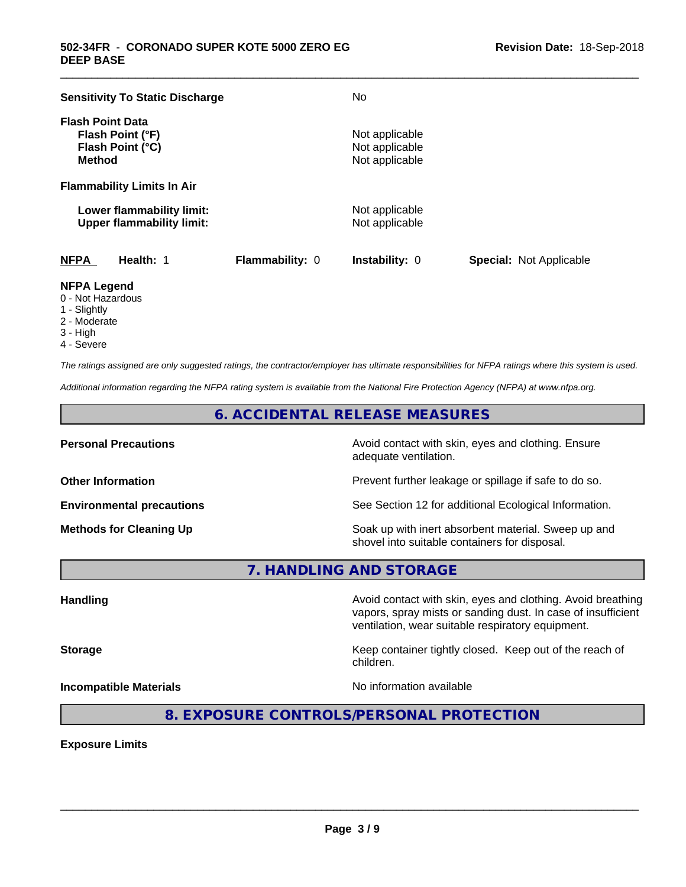| <b>Sensitivity To Static Discharge</b>                                           |                 | No                                                 |                                |
|----------------------------------------------------------------------------------|-----------------|----------------------------------------------------|--------------------------------|
| <b>Flash Point Data</b><br>Flash Point (°F)<br>Flash Point (°C)<br><b>Method</b> |                 | Not applicable<br>Not applicable<br>Not applicable |                                |
| <b>Flammability Limits In Air</b>                                                |                 |                                                    |                                |
| Lower flammability limit:<br><b>Upper flammability limit:</b>                    |                 | Not applicable<br>Not applicable                   |                                |
| <b>NFPA</b><br>Health: 1                                                         | Flammability: 0 | <b>Instability: 0</b>                              | <b>Special: Not Applicable</b> |

\_\_\_\_\_\_\_\_\_\_\_\_\_\_\_\_\_\_\_\_\_\_\_\_\_\_\_\_\_\_\_\_\_\_\_\_\_\_\_\_\_\_\_\_\_\_\_\_\_\_\_\_\_\_\_\_\_\_\_\_\_\_\_\_\_\_\_\_\_\_\_\_\_\_\_\_\_\_\_\_\_\_\_\_\_\_\_\_\_\_\_\_\_

# **NFPA Legend**

- 0 Not Hazardous
- 1 Slightly
- 2 Moderate
- 3 High
- 4 Severe

*The ratings assigned are only suggested ratings, the contractor/employer has ultimate responsibilities for NFPA ratings where this system is used.*

*Additional information regarding the NFPA rating system is available from the National Fire Protection Agency (NFPA) at www.nfpa.org.*

# **6. ACCIDENTAL RELEASE MEASURES**

**Personal Precautions Precautions** Avoid contact with skin, eyes and clothing. Ensure adequate ventilation.

**Other Information Other Information Prevent further leakage or spillage if safe to do so.** 

**Environmental precautions** See Section 12 for additional Ecological Information.

**Methods for Cleaning Up Example 20 Soak** up with inert absorbent material. Sweep up and shovel into suitable containers for disposal.

vapors, spray mists or sanding dust. In case of insufficient

**7. HANDLING AND STORAGE**

**Handling Handling Avoid contact with skin, eyes and clothing. Avoid breathing** 

**Storage Keep container tightly closed.** Keep out of the reach of children.

ventilation, wear suitable respiratory equipment.

**Incompatible Materials Incompatible Materials No information available** 

 $\overline{\phantom{a}}$  ,  $\overline{\phantom{a}}$  ,  $\overline{\phantom{a}}$  ,  $\overline{\phantom{a}}$  ,  $\overline{\phantom{a}}$  ,  $\overline{\phantom{a}}$  ,  $\overline{\phantom{a}}$  ,  $\overline{\phantom{a}}$  ,  $\overline{\phantom{a}}$  ,  $\overline{\phantom{a}}$  ,  $\overline{\phantom{a}}$  ,  $\overline{\phantom{a}}$  ,  $\overline{\phantom{a}}$  ,  $\overline{\phantom{a}}$  ,  $\overline{\phantom{a}}$  ,  $\overline{\phantom{a}}$ 

**8. EXPOSURE CONTROLS/PERSONAL PROTECTION**

**Exposure Limits**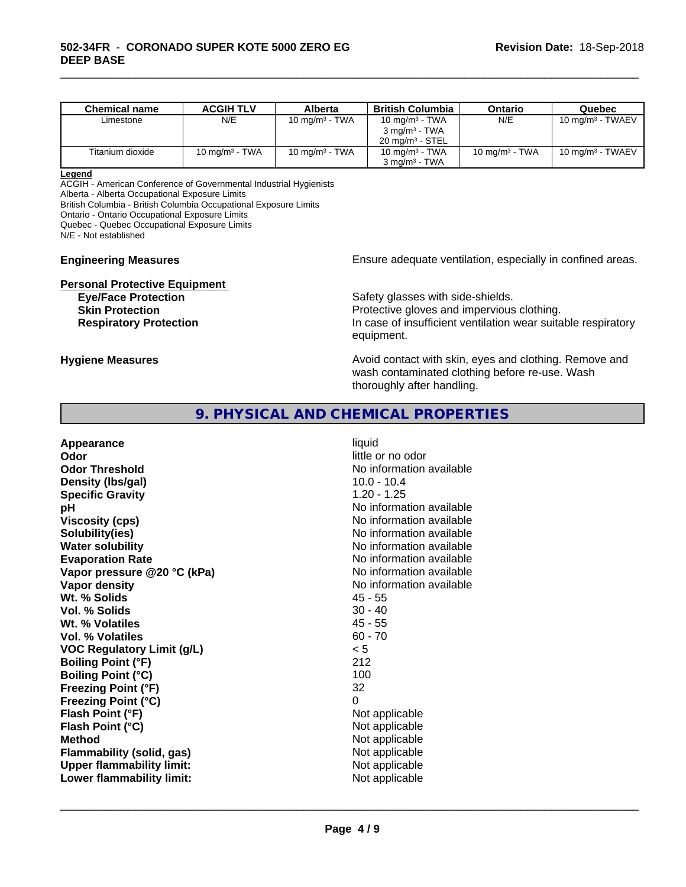| <b>Chemical name</b> | <b>ACGIH TLV</b> | Alberta           | <b>British Columbia</b>    | Ontario           | Quebec                       |
|----------------------|------------------|-------------------|----------------------------|-------------------|------------------------------|
| Limestone            | N/E              | 10 mg/m $3$ - TWA | 10 mg/m $3$ - TWA          | N/E               | 10 mg/m <sup>3</sup> - TWAEV |
|                      |                  |                   | $3 \text{ ma/m}^3$ - TWA   |                   |                              |
|                      |                  |                   | $20 \text{ ma/m}^3$ - STEL |                   |                              |
| Titanium dioxide     | 10 $mq/m3$ - TWA | 10 mg/m $3$ - TWA | 10 mg/m $3$ - TWA          | 10 mg/m $3$ - TWA | 10 mg/m $3$ - TWAEV          |
|                      |                  |                   | $3 \text{ mg/m}^3$ - TWA   |                   |                              |

\_\_\_\_\_\_\_\_\_\_\_\_\_\_\_\_\_\_\_\_\_\_\_\_\_\_\_\_\_\_\_\_\_\_\_\_\_\_\_\_\_\_\_\_\_\_\_\_\_\_\_\_\_\_\_\_\_\_\_\_\_\_\_\_\_\_\_\_\_\_\_\_\_\_\_\_\_\_\_\_\_\_\_\_\_\_\_\_\_\_\_\_\_

#### **Legend**

ACGIH - American Conference of Governmental Industrial Hygienists

Alberta - Alberta Occupational Exposure Limits

British Columbia - British Columbia Occupational Exposure Limits

Ontario - Ontario Occupational Exposure Limits

Quebec - Quebec Occupational Exposure Limits

N/E - Not established

**Personal Protective Equipment**<br> **Eve/Face Protection** 

**Engineering Measures Ensure** Ensure adequate ventilation, especially in confined areas.

Safety glasses with side-shields. **Skin Protection Protective gloves and impervious clothing. Respiratory Protection In case of insufficient ventilation wear suitable respiratory** equipment.

**Hygiene Measures Avoid contact with skin, eyes and clothing. Remove and Hygiene Measures Avoid contact with skin, eyes and clothing. Remove and** wash contaminated clothing before re-use. Wash thoroughly after handling.

# **9. PHYSICAL AND CHEMICAL PROPERTIES**

| Appearance<br>Odor<br><b>Odor Threshold</b><br>Density (Ibs/gal)<br><b>Specific Gravity</b><br>рH<br><b>Viscosity (cps)</b><br>Solubility(ies)<br><b>Water solubility</b><br><b>Evaporation Rate</b><br>Vapor pressure @20 °C (kPa)<br>Vapor density<br>Wt. % Solids<br>Vol. % Solids<br>Wt. % Volatiles<br>Vol. % Volatiles<br><b>VOC Regulatory Limit (g/L)</b> | liquid<br>little or no odor<br>No information available<br>$10.0 - 10.4$<br>$1.20 - 1.25$<br>No information available<br>No information available<br>No information available<br>No information available<br>No information available<br>No information available<br>No information available<br>$45 - 55$<br>$30 - 40$<br>$45 - 55$<br>$60 - 70$<br>< 5 |
|-------------------------------------------------------------------------------------------------------------------------------------------------------------------------------------------------------------------------------------------------------------------------------------------------------------------------------------------------------------------|----------------------------------------------------------------------------------------------------------------------------------------------------------------------------------------------------------------------------------------------------------------------------------------------------------------------------------------------------------|
|                                                                                                                                                                                                                                                                                                                                                                   |                                                                                                                                                                                                                                                                                                                                                          |
|                                                                                                                                                                                                                                                                                                                                                                   |                                                                                                                                                                                                                                                                                                                                                          |
|                                                                                                                                                                                                                                                                                                                                                                   |                                                                                                                                                                                                                                                                                                                                                          |
| <b>Boiling Point (°F)</b>                                                                                                                                                                                                                                                                                                                                         | 212                                                                                                                                                                                                                                                                                                                                                      |
| <b>Boiling Point (°C)</b>                                                                                                                                                                                                                                                                                                                                         | 100                                                                                                                                                                                                                                                                                                                                                      |
| <b>Freezing Point (°F)</b>                                                                                                                                                                                                                                                                                                                                        | 32                                                                                                                                                                                                                                                                                                                                                       |
| <b>Freezing Point (°C)</b>                                                                                                                                                                                                                                                                                                                                        | 0                                                                                                                                                                                                                                                                                                                                                        |
| Flash Point (°F)<br>Flash Point (°C)                                                                                                                                                                                                                                                                                                                              | Not applicable<br>Not applicable                                                                                                                                                                                                                                                                                                                         |
| <b>Method</b>                                                                                                                                                                                                                                                                                                                                                     | Not applicable                                                                                                                                                                                                                                                                                                                                           |
| Flammability (solid, gas)                                                                                                                                                                                                                                                                                                                                         | Not applicable                                                                                                                                                                                                                                                                                                                                           |
| <b>Upper flammability limit:</b>                                                                                                                                                                                                                                                                                                                                  | Not applicable                                                                                                                                                                                                                                                                                                                                           |
|                                                                                                                                                                                                                                                                                                                                                                   |                                                                                                                                                                                                                                                                                                                                                          |
| Lower flammability limit:                                                                                                                                                                                                                                                                                                                                         | Not applicable                                                                                                                                                                                                                                                                                                                                           |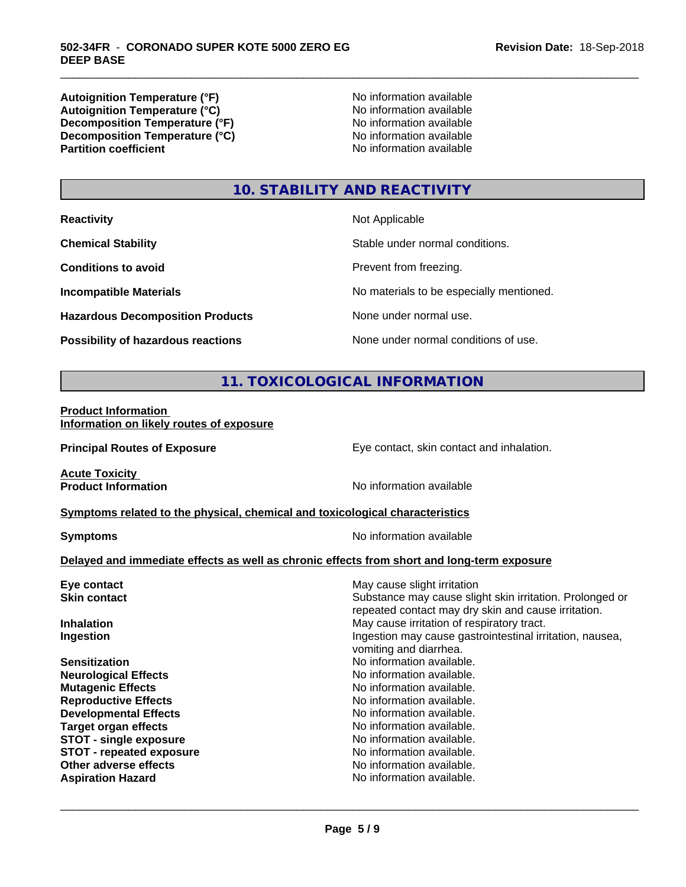**Autoignition Temperature (°F)**<br> **Autoignition Temperature (°C)** No information available **Autoignition Temperature (°C)**<br> **Decomposition Temperature (°F)** No information available **Decomposition Temperature (°F) Decomposition Temperature (°C)**<br> **Partition coefficient**<br> **Partition coefficient**<br> **No** information available

**No information available** 

\_\_\_\_\_\_\_\_\_\_\_\_\_\_\_\_\_\_\_\_\_\_\_\_\_\_\_\_\_\_\_\_\_\_\_\_\_\_\_\_\_\_\_\_\_\_\_\_\_\_\_\_\_\_\_\_\_\_\_\_\_\_\_\_\_\_\_\_\_\_\_\_\_\_\_\_\_\_\_\_\_\_\_\_\_\_\_\_\_\_\_\_\_

# **10. STABILITY AND REACTIVITY**

| <b>Reactivity</b> |  |
|-------------------|--|
|                   |  |

**Hazardous Decomposition Products** None under normal use.

**Not Applicable** 

**Chemical Stability Chemical Stability** Stable under normal conditions.

**Conditions to avoid Prevent from freezing.** 

**Incompatible Materials No materials** No materials to be especially mentioned.

**Possibility of hazardous reactions** None under normal conditions of use.

# **11. TOXICOLOGICAL INFORMATION**

**Product Information Information on likely routes of exposure**

**Principal Routes of Exposure Exposure** Eye contact, skin contact and inhalation.

**Acute Toxicity<br>Product Information** 

**No information available** 

#### **Symptoms related to the physical,chemical and toxicological characteristics**

**Symptoms** No information available

 $\overline{\phantom{a}}$  ,  $\overline{\phantom{a}}$  ,  $\overline{\phantom{a}}$  ,  $\overline{\phantom{a}}$  ,  $\overline{\phantom{a}}$  ,  $\overline{\phantom{a}}$  ,  $\overline{\phantom{a}}$  ,  $\overline{\phantom{a}}$  ,  $\overline{\phantom{a}}$  ,  $\overline{\phantom{a}}$  ,  $\overline{\phantom{a}}$  ,  $\overline{\phantom{a}}$  ,  $\overline{\phantom{a}}$  ,  $\overline{\phantom{a}}$  ,  $\overline{\phantom{a}}$  ,  $\overline{\phantom{a}}$ 

#### **Delayed and immediate effects as well as chronic effects from short and long-term exposure**

| Eye contact                     | May cause slight irritation                                                                                     |
|---------------------------------|-----------------------------------------------------------------------------------------------------------------|
| <b>Skin contact</b>             | Substance may cause slight skin irritation. Prolonged or<br>repeated contact may dry skin and cause irritation. |
| <b>Inhalation</b>               | May cause irritation of respiratory tract.                                                                      |
| Ingestion                       | Ingestion may cause gastrointestinal irritation, nausea,<br>vomiting and diarrhea.                              |
| <b>Sensitization</b>            | No information available.                                                                                       |
| <b>Neurological Effects</b>     | No information available.                                                                                       |
| <b>Mutagenic Effects</b>        | No information available.                                                                                       |
| <b>Reproductive Effects</b>     | No information available.                                                                                       |
| <b>Developmental Effects</b>    | No information available.                                                                                       |
| <b>Target organ effects</b>     | No information available.                                                                                       |
| <b>STOT - single exposure</b>   | No information available.                                                                                       |
| <b>STOT - repeated exposure</b> | No information available.                                                                                       |
| Other adverse effects           | No information available.                                                                                       |
| <b>Aspiration Hazard</b>        | No information available.                                                                                       |
|                                 |                                                                                                                 |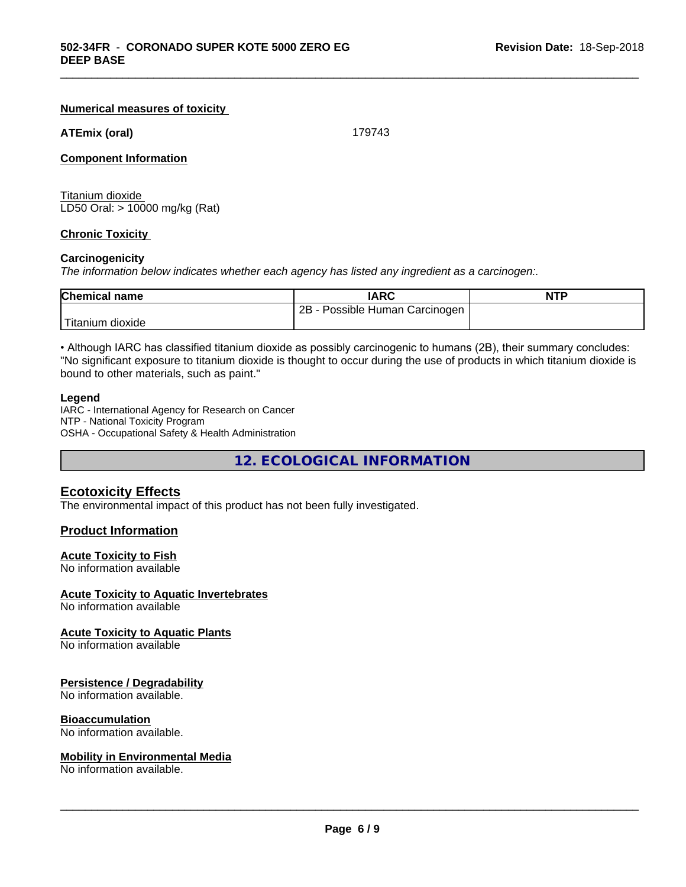#### **Numerical measures of toxicity**

#### **ATEmix (oral)** 179743

\_\_\_\_\_\_\_\_\_\_\_\_\_\_\_\_\_\_\_\_\_\_\_\_\_\_\_\_\_\_\_\_\_\_\_\_\_\_\_\_\_\_\_\_\_\_\_\_\_\_\_\_\_\_\_\_\_\_\_\_\_\_\_\_\_\_\_\_\_\_\_\_\_\_\_\_\_\_\_\_\_\_\_\_\_\_\_\_\_\_\_\_\_

#### **Component Information**

Titanium dioxide LD50 Oral: > 10000 mg/kg (Rat)

#### **Chronic Toxicity**

#### **Carcinogenicity**

*The information below indicateswhether each agency has listed any ingredient as a carcinogen:.*

| <b>Chemical</b><br>name | IARC                                  | <b>NTP</b> |
|-------------------------|---------------------------------------|------------|
|                         | 2B<br>Possible<br>Carcinogen<br>Human |            |
| dioxide<br>⊣tanıum      |                                       |            |

• Although IARC has classified titanium dioxide as possibly carcinogenic to humans (2B), their summary concludes: "No significant exposure to titanium dioxide is thought to occur during the use of products in which titanium dioxide is bound to other materials, such as paint."

#### **Legend**

IARC - International Agency for Research on Cancer NTP - National Toxicity Program OSHA - Occupational Safety & Health Administration

**12. ECOLOGICAL INFORMATION**

#### **Ecotoxicity Effects**

The environmental impact of this product has not been fully investigated.

#### **Product Information**

#### **Acute Toxicity to Fish**

No information available

#### **Acute Toxicity to Aquatic Invertebrates**

No information available

#### **Acute Toxicity to Aquatic Plants**

No information available

#### **Persistence / Degradability**

No information available.

## **Bioaccumulation**

No information available.

#### **Mobility in Environmental Media**

No information available.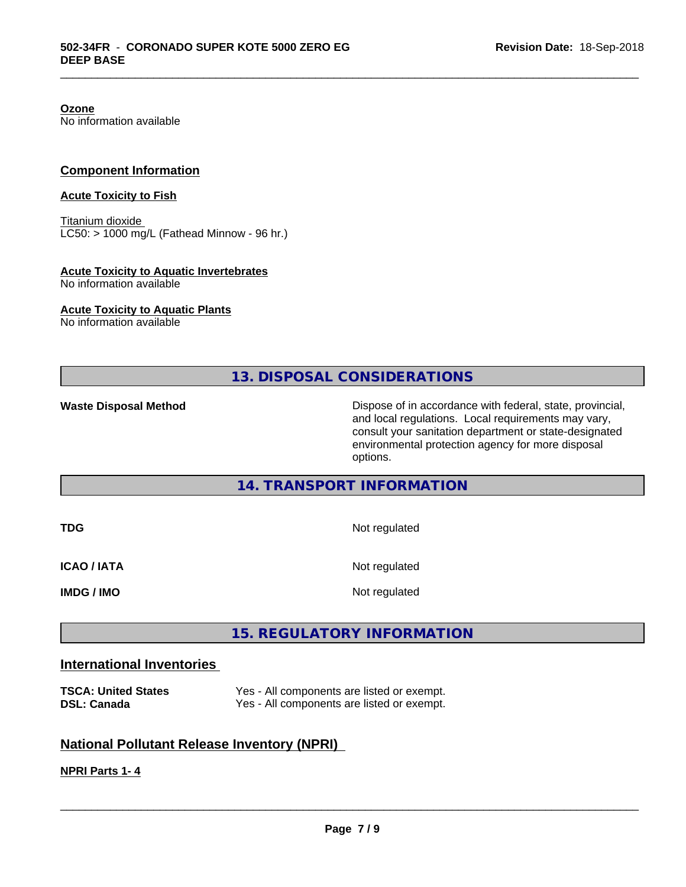**Ozone** No information available

#### **Component Information**

#### **Acute Toxicity to Fish**

Titanium dioxide  $LC50:$  > 1000 mg/L (Fathead Minnow - 96 hr.)

## **Acute Toxicity to Aquatic Invertebrates**

No information available

#### **Acute Toxicity to Aquatic Plants**

No information available

# **13. DISPOSAL CONSIDERATIONS**

\_\_\_\_\_\_\_\_\_\_\_\_\_\_\_\_\_\_\_\_\_\_\_\_\_\_\_\_\_\_\_\_\_\_\_\_\_\_\_\_\_\_\_\_\_\_\_\_\_\_\_\_\_\_\_\_\_\_\_\_\_\_\_\_\_\_\_\_\_\_\_\_\_\_\_\_\_\_\_\_\_\_\_\_\_\_\_\_\_\_\_\_\_

Waste Disposal Method **Dispose of in accordance with federal, state, provincial,** and local regulations. Local requirements may vary, consult your sanitation department or state-designated environmental protection agency for more disposal options.

## **14. TRANSPORT INFORMATION**

| <b>TDG</b>         | Not regulated |
|--------------------|---------------|
| <b>ICAO / IATA</b> | Not regulated |
| <b>IMDG / IMO</b>  | Not regulated |

# **15. REGULATORY INFORMATION**

## **International Inventories**

| <b>TSCA: United States</b> | Yes - All components are listed or exempt. |
|----------------------------|--------------------------------------------|
| <b>DSL: Canada</b>         | Yes - All components are listed or exempt. |

# **National Pollutant Release Inventory (NPRI)**

# **NPRI Parts 1- 4**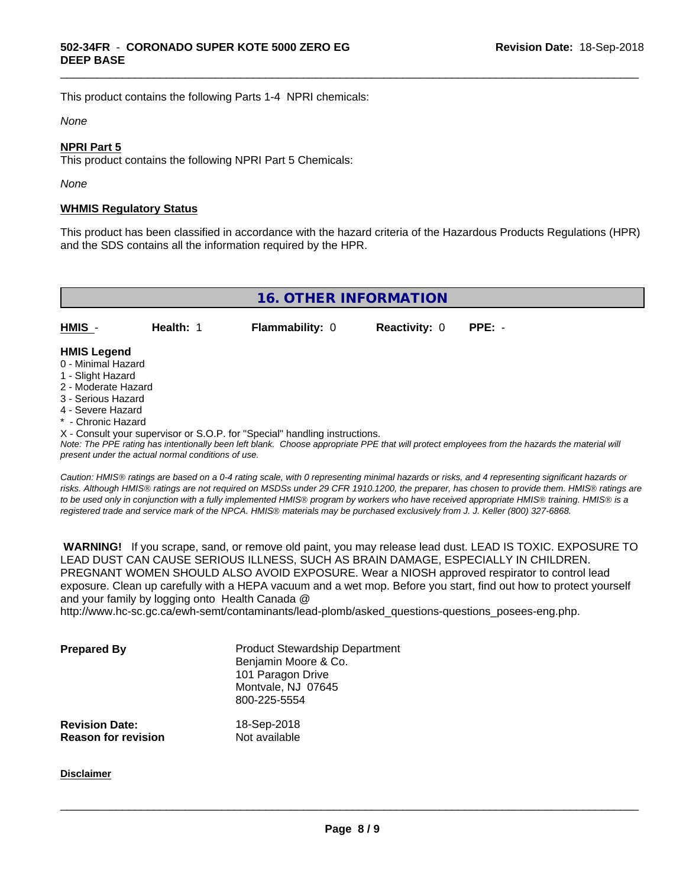This product contains the following Parts 1-4 NPRI chemicals:

#### *None*

#### **NPRI Part 5**

This product contains the following NPRI Part 5 Chemicals:

*None*

#### **WHMIS Regulatory Status**

This product has been classified in accordance with the hazard criteria of the Hazardous Products Regulations (HPR) and the SDS contains all the information required by the HPR.

\_\_\_\_\_\_\_\_\_\_\_\_\_\_\_\_\_\_\_\_\_\_\_\_\_\_\_\_\_\_\_\_\_\_\_\_\_\_\_\_\_\_\_\_\_\_\_\_\_\_\_\_\_\_\_\_\_\_\_\_\_\_\_\_\_\_\_\_\_\_\_\_\_\_\_\_\_\_\_\_\_\_\_\_\_\_\_\_\_\_\_\_\_

**16. OTHER INFORMATION HMIS** - **Health:** 1 **Flammability:** 0 **Reactivity:** 0 **PPE:** - **HMIS Legend** 0 - Minimal Hazard

- 
- 1 Slight Hazard
- 2 Moderate Hazard
- 3 Serious Hazard
- 4 Severe Hazard
- <sup>\*</sup> Chronic Hazard
- X Consult your supervisor or S.O.P. for "Special" handling instructions.

*Note: The PPE rating has intentionally been left blank. Choose appropriate PPE that will protect employees from the hazards the material will present under the actual normal conditions of use.*

*Caution: HMISÒ ratings are based on a 0-4 rating scale, with 0 representing minimal hazards or risks, and 4 representing significant hazards or risks. Although HMISÒ ratings are not required on MSDSs under 29 CFR 1910.1200, the preparer, has chosen to provide them. HMISÒ ratings are to be used only in conjunction with a fully implemented HMISÒ program by workers who have received appropriate HMISÒ training. HMISÒ is a registered trade and service mark of the NPCA. HMISÒ materials may be purchased exclusively from J. J. Keller (800) 327-6868.*

 **WARNING!** If you scrape, sand, or remove old paint, you may release lead dust. LEAD IS TOXIC. EXPOSURE TO LEAD DUST CAN CAUSE SERIOUS ILLNESS, SUCH AS BRAIN DAMAGE, ESPECIALLY IN CHILDREN. PREGNANT WOMEN SHOULD ALSO AVOID EXPOSURE.Wear a NIOSH approved respirator to control lead exposure. Clean up carefully with a HEPA vacuum and a wet mop. Before you start, find out how to protect yourself and your family by logging onto Health Canada @

http://www.hc-sc.gc.ca/ewh-semt/contaminants/lead-plomb/asked\_questions-questions\_posees-eng.php.

| <b>Prepared By</b>                                  | <b>Product Stewardship Department</b><br>Benjamin Moore & Co.<br>101 Paragon Drive<br>Montvale, NJ 07645<br>800-225-5554 |  |
|-----------------------------------------------------|--------------------------------------------------------------------------------------------------------------------------|--|
| <b>Revision Date:</b><br><b>Reason for revision</b> | 18-Sep-2018<br>Not available                                                                                             |  |

#### **Disclaimer**